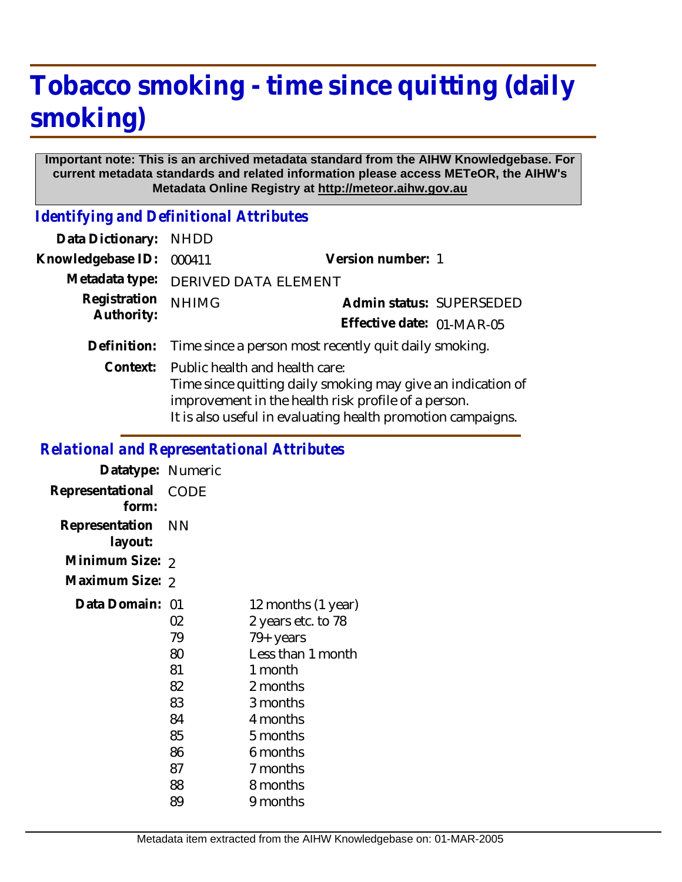# **Tobacco smoking - time since quitting (daily smoking)**

#### **Important note: This is an archived metadata standard from the AIHW Knowledgebase. For current metadata standards and related information please access METeOR, the AIHW's Metadata Online Registry at http://meteor.aihw.gov.au**

*Identifying and Definitional Attributes*

| Data Dictionary:  | <b>NHDD</b>                                                                                                                                                                                                         |                           |
|-------------------|---------------------------------------------------------------------------------------------------------------------------------------------------------------------------------------------------------------------|---------------------------|
| Knowledgebase ID: | 000411                                                                                                                                                                                                              | Version number: 1         |
| Metadata type:    | DERIVED DATA ELEMENT                                                                                                                                                                                                |                           |
| Registration      | <b>NHIMG</b>                                                                                                                                                                                                        | Admin status: SUPERSEDED  |
| Authority:        |                                                                                                                                                                                                                     | Effective date: 01-MAR-05 |
| Definition:       | Time since a person most recently quit daily smoking.                                                                                                                                                               |                           |
| Context:          | Public health and health care:<br>Time since quitting daily smoking may give an indication of<br>improvement in the health risk profile of a person.<br>It is also useful in evaluating health promotion campaigns. |                           |

### *Relational and Representational Attributes*

| 12 months (1 year)<br>2 years etc. to 78<br>79+ years<br>Less than 1 month<br>1 month<br>2 months<br>3 months<br>4 months<br>5 months<br>6 months<br>7 months<br>8 months<br>9 months |
|---------------------------------------------------------------------------------------------------------------------------------------------------------------------------------------|
|                                                                                                                                                                                       |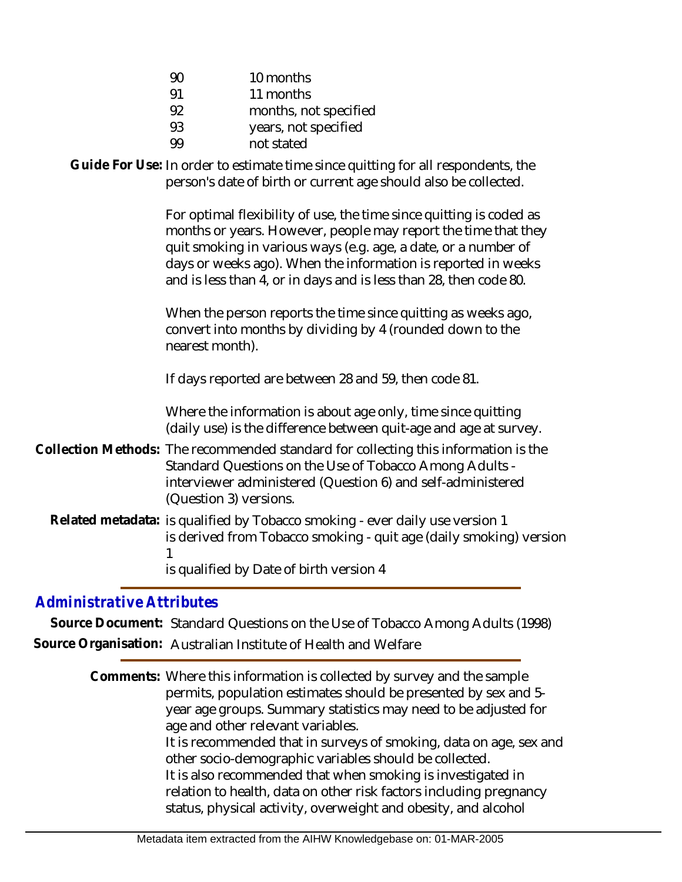| 90 | 10 months             |
|----|-----------------------|
| 91 | 11 months             |
| 92 | months, not specified |
| 93 | years, not specified  |
|    | not stated            |

Guide For Use: In order to estimate time since quitting for all respondents, the person's date of birth or current age should also be collected. For optimal flexibility of use, the time since quitting is coded as months or years. However, people may report the time that they quit smoking in various ways (e.g. age, a date, or a number of days or weeks ago). When the information is reported in weeks and is less than 4, or in days and is less than 28, then code 80. When the person reports the time since quitting as weeks ago, convert into months by dividing by 4 (rounded down to the nearest month). If days reported are between 28 and 59, then code 81. Where the information is about age only, time since quitting (daily use) is the difference between quit-age and age at survey. Collection Methods: The recommended standard for collecting this information is the Standard Questions on the Use of Tobacco Among Adults interviewer administered (Question 6) and self-administered (Question 3) versions. Related metadata: is qualified by Tobacco smoking - ever daily use version 1 is derived from Tobacco smoking - quit age (daily smoking) version 1 is qualified by Date of birth version 4

## *Administrative Attributes*

**Source Document:** Standard Questions on the Use of Tobacco Among Adults (1998) **Source Organisation:** Australian Institute of Health and Welfare

> Comments: Where this information is collected by survey and the sample permits, population estimates should be presented by sex and 5 year age groups. Summary statistics may need to be adjusted for age and other relevant variables. It is recommended that in surveys of smoking, data on age, sex and other socio-demographic variables should be collected. It is also recommended that when smoking is investigated in relation to health, data on other risk factors including pregnancy status, physical activity, overweight and obesity, and alcohol